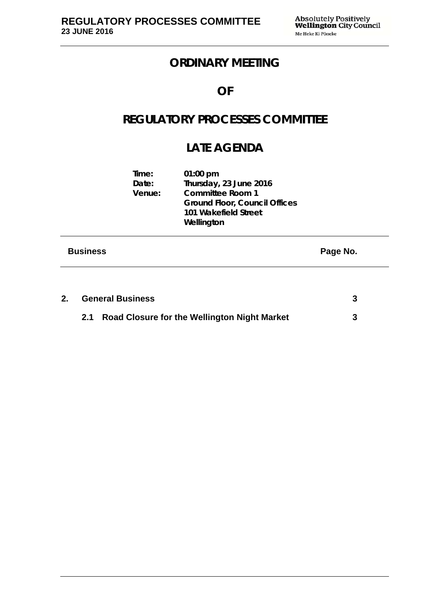# **ORDINARY MEETING**

# **OF**

# **REGULATORY PROCESSES COMMITTEE**

# **LATE AGENDA**

| <b>Business</b> |                          | 101 Wakefield Street<br>Wellington                                                                      | Page No. |
|-----------------|--------------------------|---------------------------------------------------------------------------------------------------------|----------|
|                 | Time:<br>Date:<br>Venue: | $01:00$ pm<br>Thursday, 23 June 2016<br><b>Committee Room 1</b><br><b>Ground Floor, Council Offices</b> |          |

| 2. | <b>General Business</b> |                                                  |  |
|----|-------------------------|--------------------------------------------------|--|
|    |                         | 2.1 Road Closure for the Wellington Night Market |  |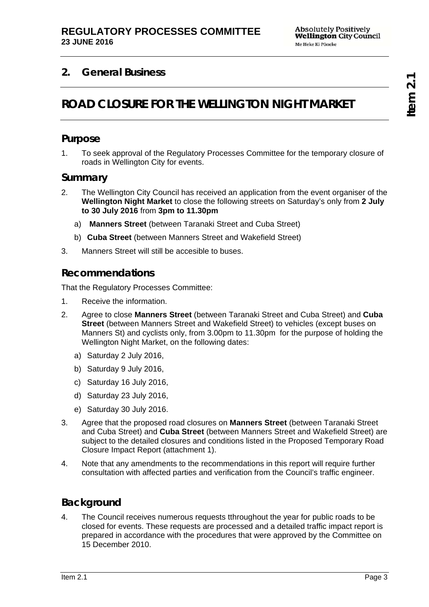# **2. General Business**

# **ROAD CLOSURE FOR THE WELLINGTON NIGHT MARKET**

## **Purpose**

1. To seek approval of the Regulatory Processes Committee for the temporary closure of roads in Wellington City for events.

### **Summary**

- 2. The Wellington City Council has received an application from the event organiser of the **Wellington Night Market** to close the following streets on Saturday's only from **2 July to 30 July 2016** from **3pm to 11.30pm**
	- a) **Manners Street** (between Taranaki Street and Cuba Street)
	- b) **Cuba Street** (between Manners Street and Wakefield Street)
- 3. Manners Street will still be accesible to buses.

## **Recommendations**

That the Regulatory Processes Committee:

- 1. Receive the information.
- 2. Agree to close **Manners Street** (between Taranaki Street and Cuba Street) and **Cuba Street** (between Manners Street and Wakefield Street) to vehicles (except buses on Manners St) and cyclists only, from 3.00pm to 11.30pm for the purpose of holding the Wellington Night Market, on the following dates:
	- a) Saturday 2 July 2016,
	- b) Saturday 9 July 2016,
	- c) Saturday 16 July 2016,
	- d) Saturday 23 July 2016,
	- e) Saturday 30 July 2016.
- 3. Agree that the proposed road closures on **Manners Street** (between Taranaki Street and Cuba Street) and **Cuba Street** (between Manners Street and Wakefield Street) are subject to the detailed closures and conditions listed in the Proposed Temporary Road Closure Impact Report (attachment 1).
- 4. Note that any amendments to the recommendations in this report will require further consultation with affected parties and verification from the Council's traffic engineer.

## **Background**

4. The Council receives numerous requests tthroughout the year for public roads to be closed for events. These requests are processed and a detailed traffic impact report is prepared in accordance with the procedures that were approved by the Committee on 15 December 2010.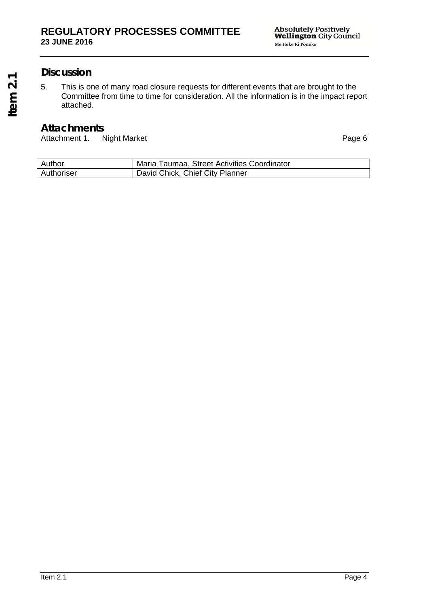## **Discussion**

5. This is one of many road closure requests for different events that are brought to the Committee from time to time for consideration. All the information is in the impact report attached.

## **Attachments**

Attachment 1. Night Market **Page 6** 

| Author     | Maria Taumaa, Street Activities Coordinator |
|------------|---------------------------------------------|
| Authoriser | David Chick, Chief City Planner             |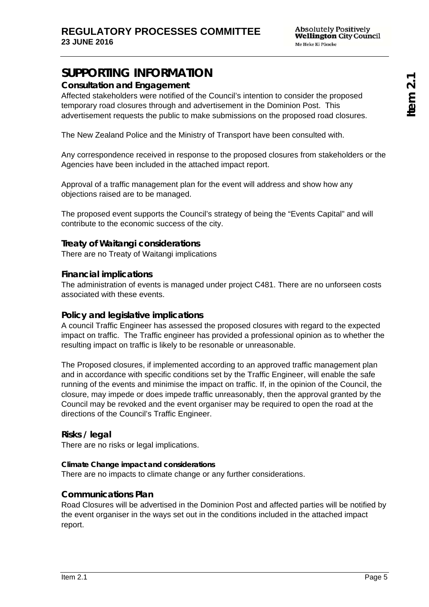# **SUPPORTING INFORMATION**

## **Consultation and Engagement**

Affected stakeholders were notified of the Council's intention to consider the proposed temporary road closures through and advertisement in the Dominion Post. This advertisement requests the public to make submissions on the proposed road closures.

The New Zealand Police and the Ministry of Transport have been consulted with.

Any correspondence received in response to the proposed closures from stakeholders or the Agencies have been included in the attached impact report.

Approval of a traffic management plan for the event will address and show how any objections raised are to be managed.

The proposed event supports the Council's strategy of being the "Events Capital" and will contribute to the economic success of the city.

### **Treaty of Waitangi considerations**

There are no Treaty of Waitangi implications

### **Financial implications**

The administration of events is managed under project C481. There are no unforseen costs associated with these events.

### **Policy and legislative implications**

A council Traffic Engineer has assessed the proposed closures with regard to the expected impact on traffic. The Traffic engineer has provided a professional opinion as to whether the resulting impact on traffic is likely to be resonable or unreasonable.

The Proposed closures, if implemented according to an approved traffic management plan and in accordance with specific conditions set by the Traffic Engineer, will enable the safe running of the events and minimise the impact on traffic. If, in the opinion of the Council, the closure, may impede or does impede traffic unreasonably, then the approval granted by the Council may be revoked and the event organiser may be required to open the road at the directions of the Council's Traffic Engineer.

### **Risks / legal**

There are no risks or legal implications.

### **Climate Change impact and considerations**

There are no impacts to climate change or any further considerations.

### **Communications Plan**

Road Closures will be advertised in the Dominion Post and affected parties will be notified by the event organiser in the ways set out in the conditions included in the attached impact report.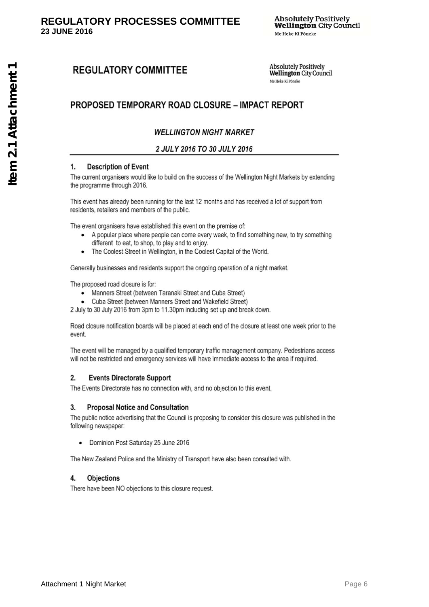# **REGULATORY COMMITTEE**

**Absolutely Positively Wellington City Council** Me Heke Ki Pôneke

# **PROPOSED TEMPORARY ROAD CLOSURE - IMPACT REPORT**

### **WELLINGTON NIGHT MARKET**

#### 2 JULY 2016 TO 30 JULY 2016

#### **Description of Event**  $\mathbf{1}$

The current organisers would like to build on the success of the Wellington Night Markets by extending the programme through 2016.

This event has already been running for the last 12 months and has received a lot of support from residents, retailers and members of the public.

The event organisers have established this event on the premise of:

- A popular place where people can come every week, to find something new, to try something different to eat, to shop, to play and to enjoy.
- The Coolest Street in Wellington, in the Coolest Capital of the World.

Generally businesses and residents support the ongoing operation of a night market.

The proposed road closure is for:

- Manners Street (between Taranaki Street and Cuba Street)
- Cuba Street (between Manners Street and Wakefield Street)

2 July to 30 July 2016 from 3pm to 11.30pm including set up and break down.

Road closure notification boards will be placed at each end of the closure at least one week prior to the event.

The event will be managed by a qualified temporary traffic management company. Pedestrians access will not be restricted and emergency services will have immediate access to the area if required.

#### $2.$ **Events Directorate Support**

The Events Directorate has no connection with, and no objection to this event.

#### **Proposal Notice and Consultation** 3.

The public notice advertising that the Council is proposing to consider this closure was published in the following newspaper:

Dominion Post Saturday 25 June 2016

The New Zealand Police and the Ministry of Transport have also been consulted with.

#### **Objections** 4.

There have been NO objections to this closure request.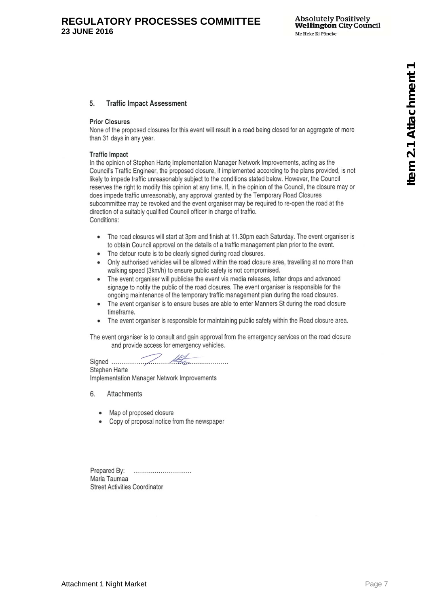#### 5. **Traffic Impact Assessment**

#### **Prior Closures**

None of the proposed closures for this event will result in a road being closed for an aggregate of more than 31 days in any year.

#### **Traffic Impact**

In the opinion of Stephen Harte Implementation Manager Network Improvements, acting as the Council's Traffic Engineer, the proposed closure, if implemented according to the plans provided, is not likely to impede traffic unreasonably subject to the conditions stated below. However, the Council reserves the right to modify this opinion at any time. If, in the opinion of the Council, the closure may or does impede traffic unreasonably, any approval granted by the Temporary Road Closures subcommittee may be revoked and the event organiser may be required to re-open the road at the direction of a suitably qualified Council officer in charge of traffic. Conditions:

- The road closures will start at 3pm and finish at 11.30pm each Saturday. The event organiser is to obtain Council approval on the details of a traffic management plan prior to the event.
- The detour route is to be clearly signed during road closures.
- Only authorised vehicles will be allowed within the road closure area, travelling at no more than walking speed (3km/h) to ensure public safety is not compromised.
- The event organiser will publicise the event via media releases, letter drops and advanced signage to notify the public of the road closures. The event organiser is responsible for the ongoing maintenance of the temporary traffic management plan during the road closures.
- The event organiser is to ensure buses are able to enter Manners St during the road closure timeframe.
- The event organiser is responsible for maintaining public safety within the Road closure area.

The event organiser is to consult and gain approval from the emergency services on the road closure and provide access for emergency vehicles.

Stephen Harte

Implementation Manager Network Improvements

- 6. Attachments
	- Map of proposed closure
	- Copy of proposal notice from the newspaper

Prepared By: ............................ Maria Taumaa **Street Activities Coordinator**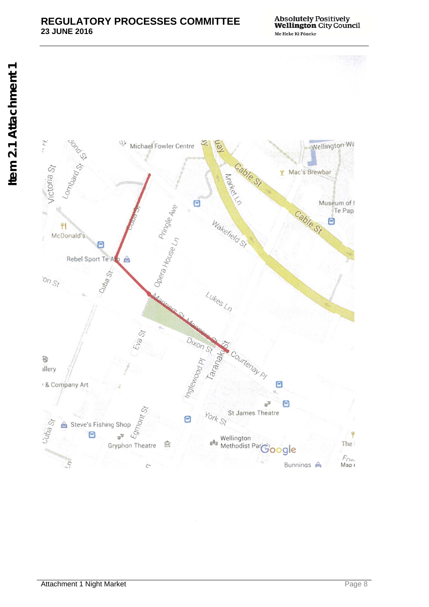